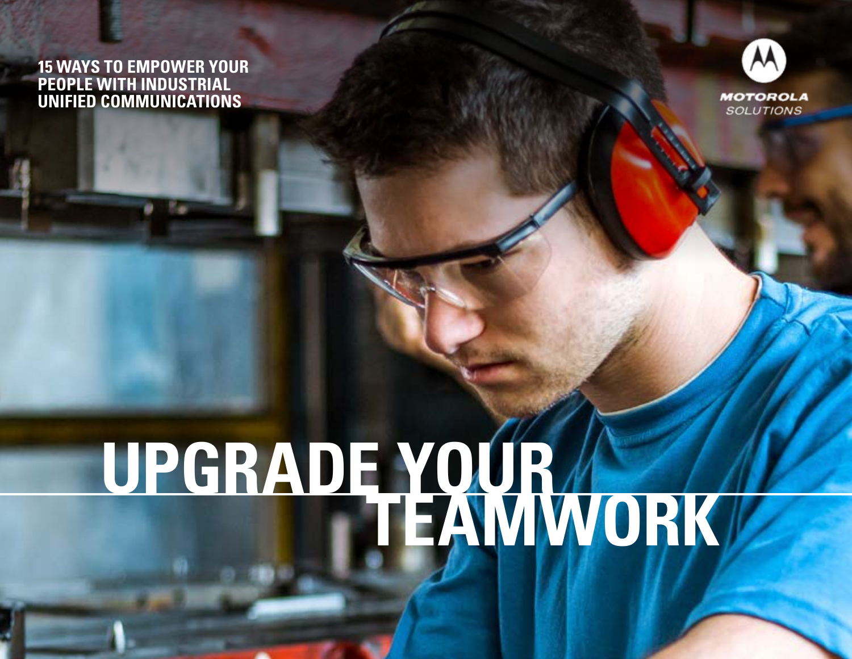#### **15 WAYS TO EMPOWER YOUR PEOPLE WITH INDUSTRIAL UNIFIED COMMUNICATIONS**



### **UPGRADE YOUR TEAMWORK**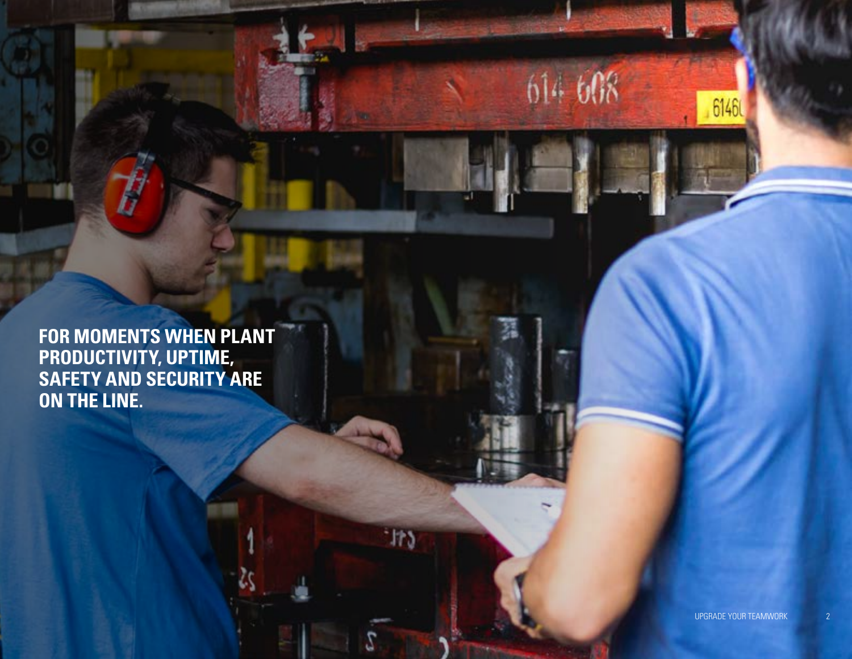**FOR MOMENTS WHEN PLANT PRODUCTIVITY, UPTIME, SAFETY AND SECURITY ARE ON THE LINE.**

UPGRADE YOUR TEAM PROPERTY.

61460

614 608

 $+173$ 

2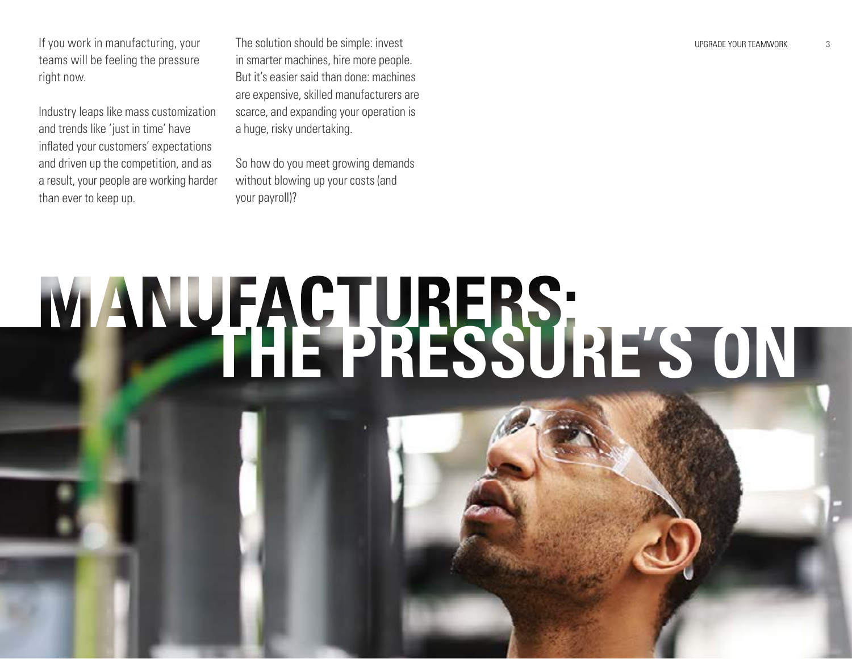If you work in manufacturing, your The solution should be simple: invest service to the state of the state of the state of the state of the state of the state of the state of the state of the state of the state of the stat teams will be feeling the pressure right now.

Industry leaps like mass customization and trends like 'just in time' have inflated your customers' expectations and driven up the competition, and as a result, your people are working harder than ever to keep up.

The solution should be simple: invest in smarter machines, hire more people. But it's easier said than done: machines are expensive, skilled manufacturers are scarce, and expanding your operation is a huge, risky undertaking.

So how do you meet growing demands without blowing up your costs (and your payroll)?

# **MANUFACTURERS:**<br>THE PRESSURE'S ON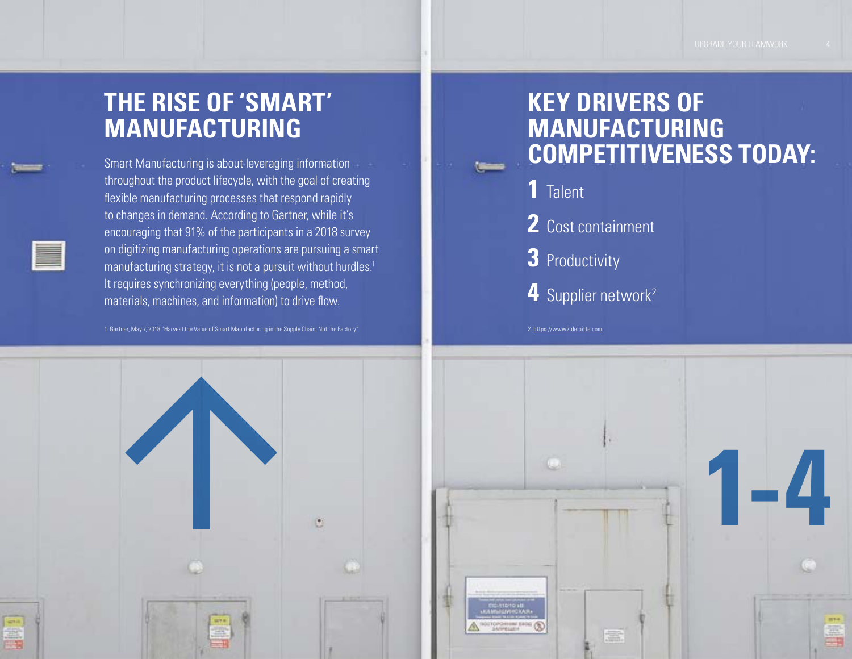#### **THE RISE OF 'SMART' MANUFACTURING**

throughout the product lifecycle, with the goal of creating flexible manufacturing processes that respond rapidly to changes in demand. According to Gartner, while it's encouraging that 91% of the participants in a 2018 survey on digitizing manufacturing operations are pursuing a smart manufacturing strategy, it is not a pursuit without hurdles.<sup>1</sup> It requires synchronizing everything (people, method, materials, machines, and information) to drive flow.

1[.](http://www.synchrono.com) Gartner, May 7, 2018 "Harvest the Value of Smart Manufacturing in the Supply Chain, Not the Factory" 2. https://www2.deloitte.com



#### **KEY DRIVERS OF MANUFACTURING**  Smart Manufacturing is about leveraging information<br> **EOMPETITIVENESS TODAY:**

- **1** Talent
- **2** Cost containment
- **3** Productivity
- 4 Supplier network<sup>2</sup>

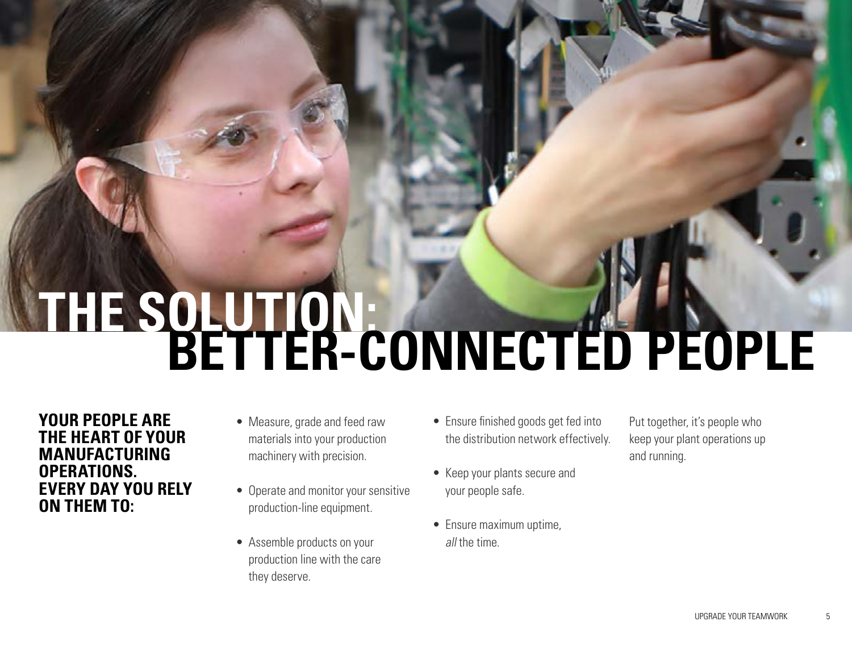# **THE SOLUTION: BETTER-CONNECTED PEOPLE**

**YOUR PEOPLE ARE THE HEART OF YOUR MANUFACTURING OPERATIONS. EVERY DAY YOU RELY ON THEM TO:**

- Measure, grade and feed raw materials into your production machinery with precision.
- Operate and monitor your sensitive production-line equipment.
- Assemble products on your production line with the care they deserve.
- Ensure finished goods get fed into the distribution network effectively.
- Keep your plants secure and your people safe.
- Ensure maximum uptime, all the time.

Put together, it's people who keep your plant operations up and running.

UPGRADE YOUR TEAM OF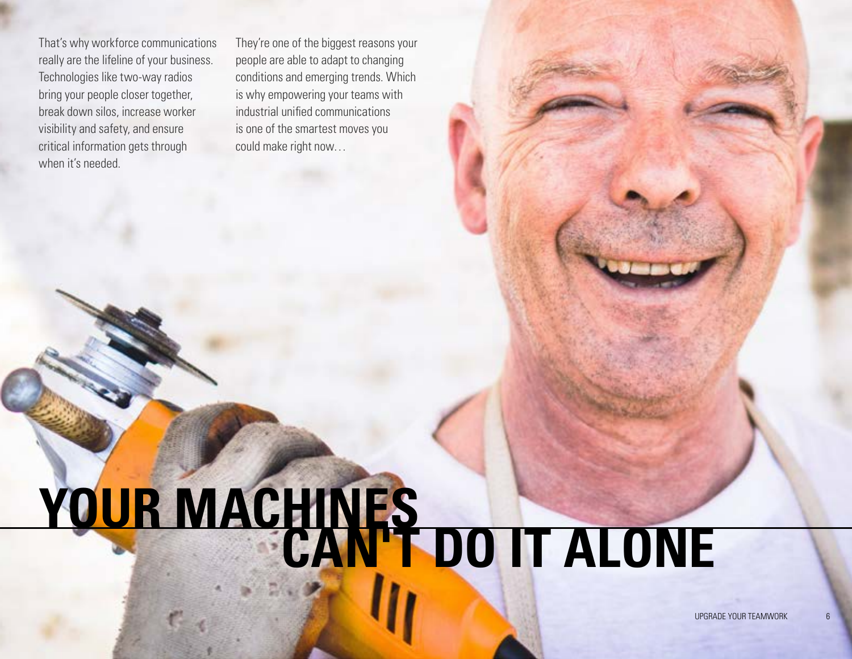That's why workforce communications really are the lifeline of your business. Technologies like two-way radios bring your people closer together, break down silos, increase worker visibility and safety, and ensure critical information gets through when it's needed.

They're one of the biggest reasons your people are able to adapt to changing conditions and emerging trends. Which is why empowering your teams with industrial unified communications is one of the smartest moves you could make right now…

### **YOUR MACHINES CAN'T DO IT ALONE**

UPGRADE YOUR TEAMWOF

6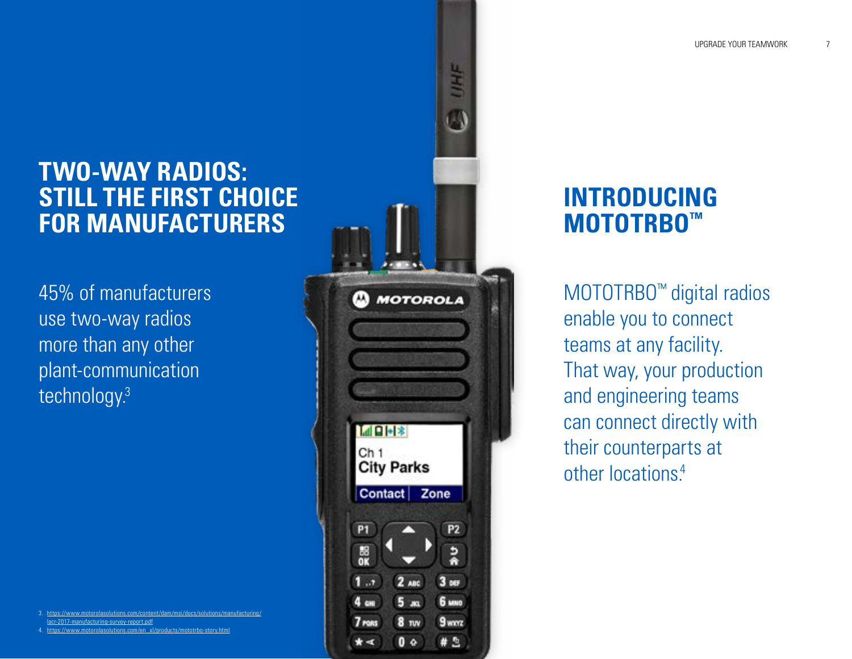#### **TWO-WAY RADIOS: STILL THE FIRST CHOICE FOR MANUFACTURERS**

45% of manufacturers use two-way radios more than any other plant-communication technology.3

3. [https://www.motorolasolutions.com/content/dam/msi/docs/solutions/manufacturing/](https://www.motorolasolutions.com/content/dam/msi/docs/solutions/manufacturing/lacr-2017-manufacturing-survey-report.pdf) [lacr-2017-manufacturing-survey-report.pdf](https://www.motorolasolutions.com/content/dam/msi/docs/solutions/manufacturing/lacr-2017-manufacturing-survey-report.pdf)

4. [https://www.motorolasolutions.com/en\\_xl/products/mototrbo-story.html](https://www.motorolasolutions.com/en_xl/products/mototrbo-story.html)



#### **INTRODUCING MOTOTRBO™**

MOTOTRBO™ digital radios enable you to connect teams at any facility. That way, your production and engineering teams can connect directly with their counterparts at other locations.<sup>4</sup>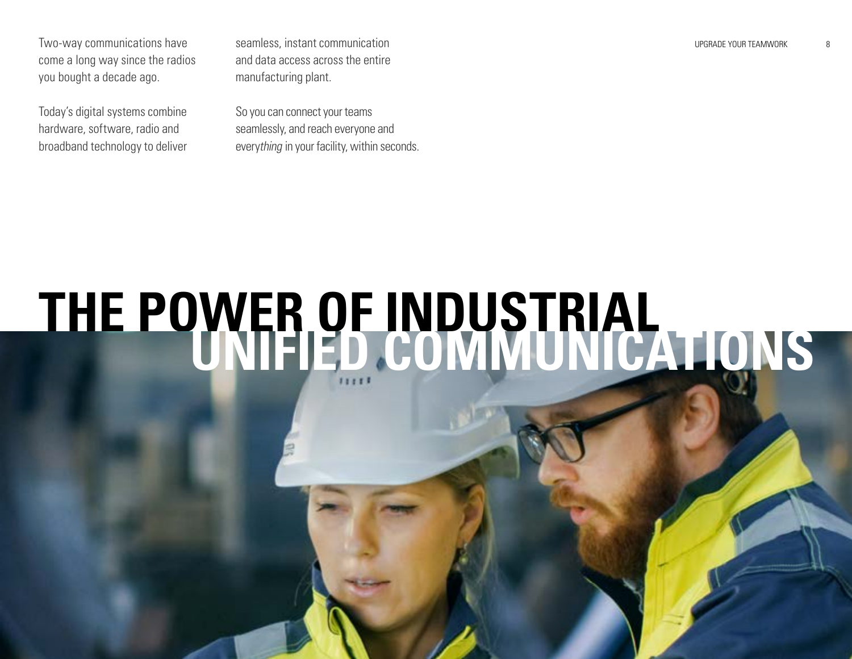Two-way communications have seamless, instant communication states are all that the seamless of the seamless of the seamless of the seamless of the seamless of the seamless of the seamless of the seamless of the seamless o come a long way since the radios you bought a decade ago.

Today's digital systems combine hardware, software, radio and broadband technology to deliver and data access across the entire manufacturing plant.

So you can connect your teams seamlessly, and reach everyone and everything in your facility, within seconds. 8

### **THE POWER OF INDUSTRIAL UNIFIED COMMUNICATIONS**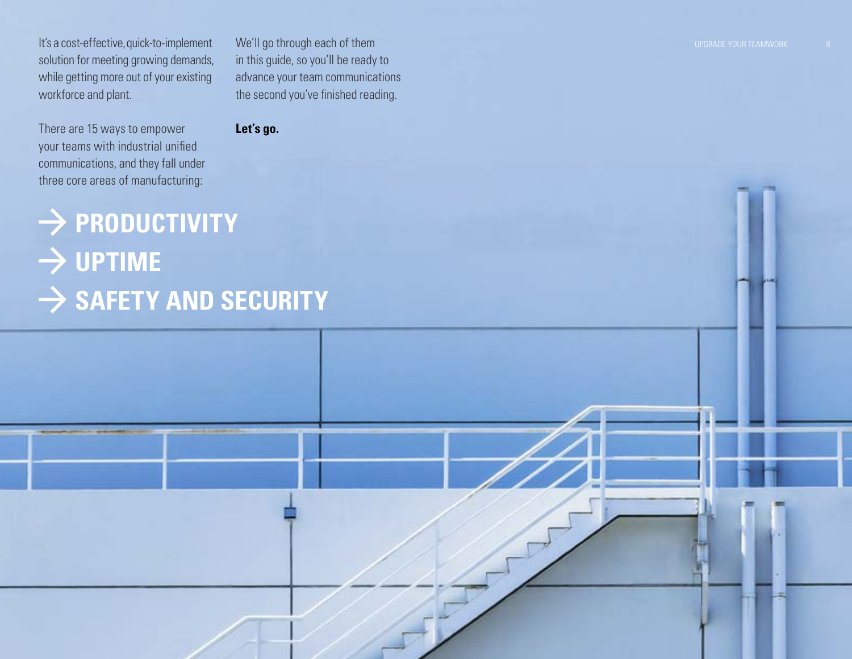It's a cost-effective, quick-to-implement solution for meeting growing demands, while getting more out of your existing workforce and plant.

There are 15 ways to empower your teams with industrial unified communications, and they fall under three core areas of manufacturing:

We'll go through each of them in this guide, so you'll be ready to advance your team communications the second you've finished reading.

**Let's go.**

### $\rightarrow$  PRODUCTIVITY

### $\rightarrow$  UPTIME  $\rightarrow$  SAFETY AND SECURITY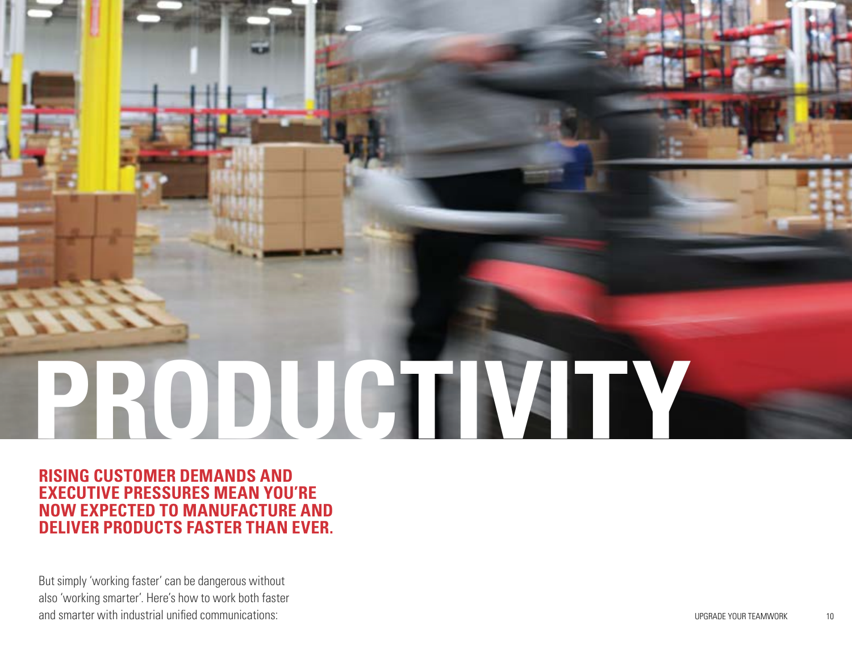# **PRODUCTIVITY**

**RISING CUSTOMER DEMANDS AND EXECUTIVE PRESSURES MEAN YOU'RE NOW EXPECTED TO MANUFACTURE AND DELIVER PRODUCTS FASTER THAN EVER.**

But simply 'working faster' can be dangerous without also 'working smarter'. Here's how to work both faster and smarter with industrial unified communications:

UPGRADE YOUR TEAM OF TEAM OF TEAM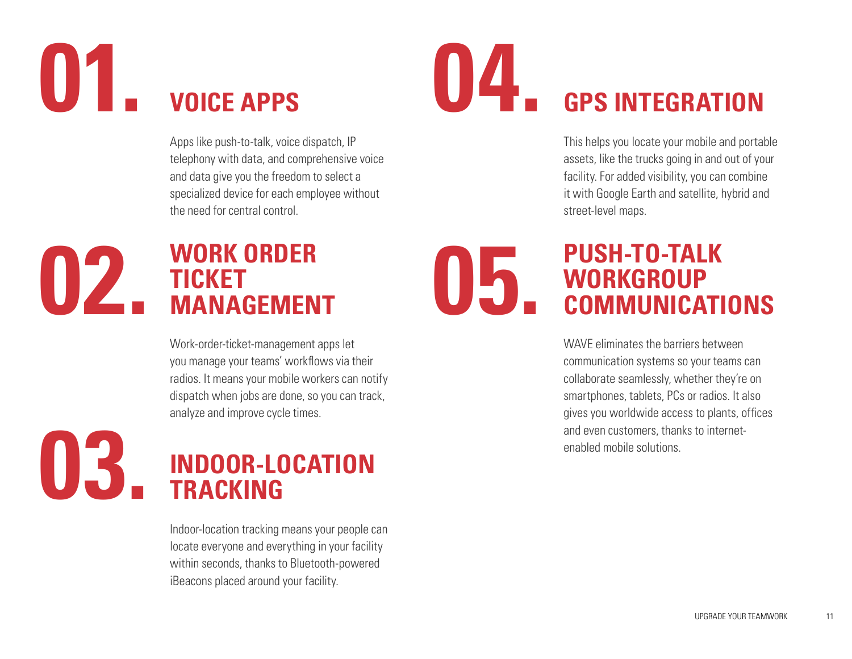### 01. **voice APPS** 04. **VOICE APPS**

Apps like push-to-talk, voice dispatch, IP telephony with data, and comprehensive voice and data give you the freedom to select a specialized device for each employee without the need for central control.

#### **02.** WORK ORDER<br>MANAGEMENT 05. **WORK ORDER TICKET MANAGEMENT**

Work-order-ticket-management apps let you manage your teams' workflows via their radios. It means your mobile workers can notify dispatch when jobs are done, so you can track, analyze and improve cycle times.



Indoor-location tracking means your people can locate everyone and everything in your facility within seconds, thanks to Bluetooth-powered iBeacons placed around your facility.

## **GPS INTEGRATION**

This helps you locate your mobile and portable assets, like the trucks going in and out of your facility. For added visibility, you can combine it with Google Earth and satellite, hybrid and street-level maps.

#### **PUSH-TO-TALK WORKGROUP COMMUNICATIONS**

WAVE eliminates the barriers between communication systems so your teams can collaborate seamlessly, whether they're on smartphones, tablets, PCs or radios. It also gives you worldwide access to plants, offices and even customers, thanks to internetenabled mobile solutions.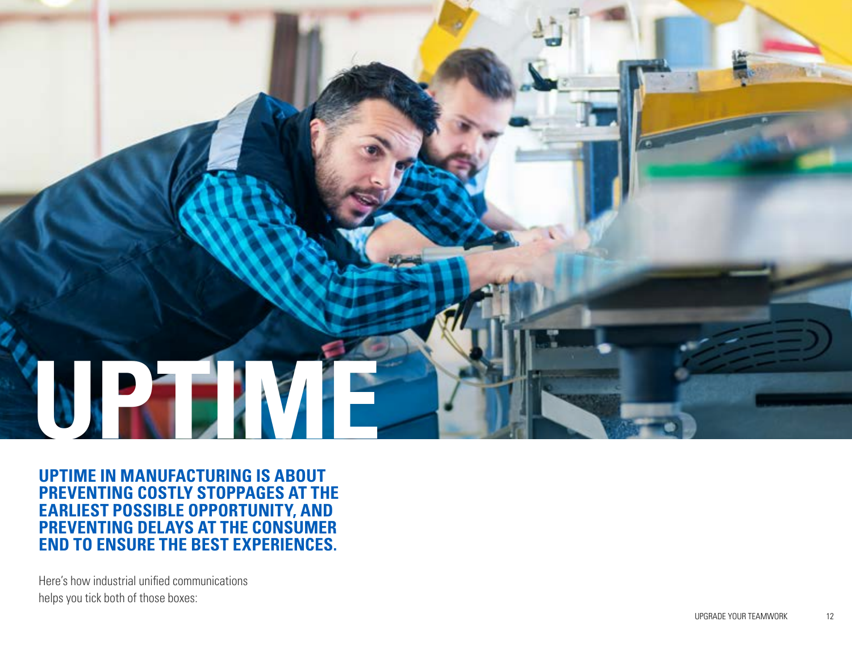

**UPTIME IN MANUFACTURING IS ABOUT PREVENTING COSTLY STOPPAGES AT THE EARLIEST POSSIBLE OPPORTUNITY, AND PREVENTING DELAYS AT THE CONSUMER END TO ENSURE THE BEST EXPERIENCES.**

Here's how industrial unified communications helps you tick both of those boxes: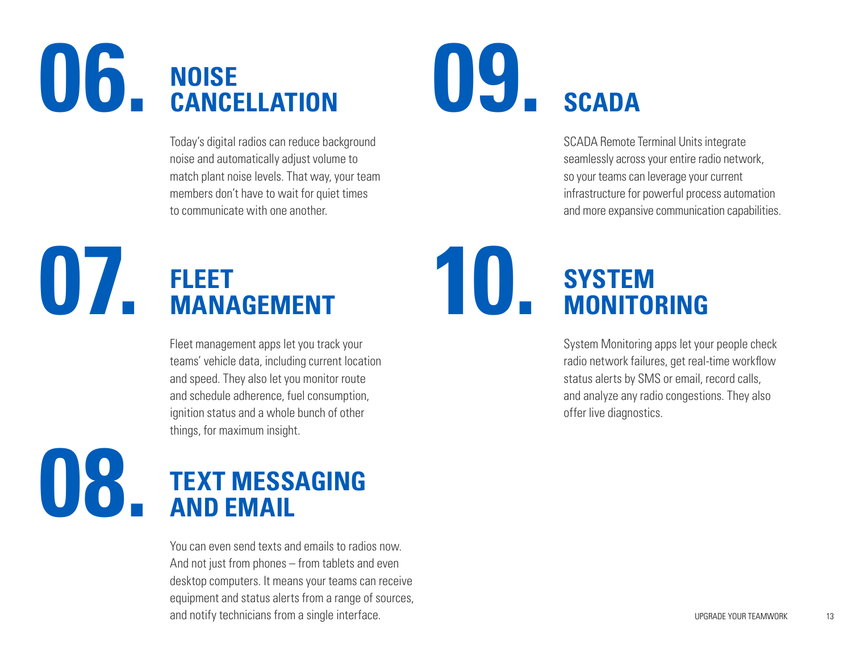#### 06. NOISE CANCELLATION **NOISE CANCELLATION**

Today's digital radios can reduce background noise and automatically adjust volume to match plant noise levels. That way, your team members don't have to wait for quiet times to communicate with one another.

# UY<sub>-SCADA</sub>

SCADA Remote Terminal Units integrate seamlessly across your entire radio network, so your teams can leverage your current infrastructure for powerful process automation and more expansive communication capabilities.

#### **07.** FLEET MANAGEMENT 10 **FLEET MANAGEMENT**

Fleet management apps let you track your teams' vehicle data, including current location and speed. They also let you monitor route and schedule adherence, fuel consumption, ignition status and a whole bunch of other things, for maximum insight.

#### **08. TEXT MESSAGING AND EMAIL**

You can even send texts and emails to radios now. And not just from phones – from tablets and even desktop computers. It means your teams can receive equipment and status alerts from a range of sources, and notify technicians from a single interface.

#### **SYSTEM MONITORING**

System Monitoring apps let your people check radio network failures, get real-time workflow status alerts by SMS or email, record calls, and analyze any radio congestions. They also offer live diagnostics.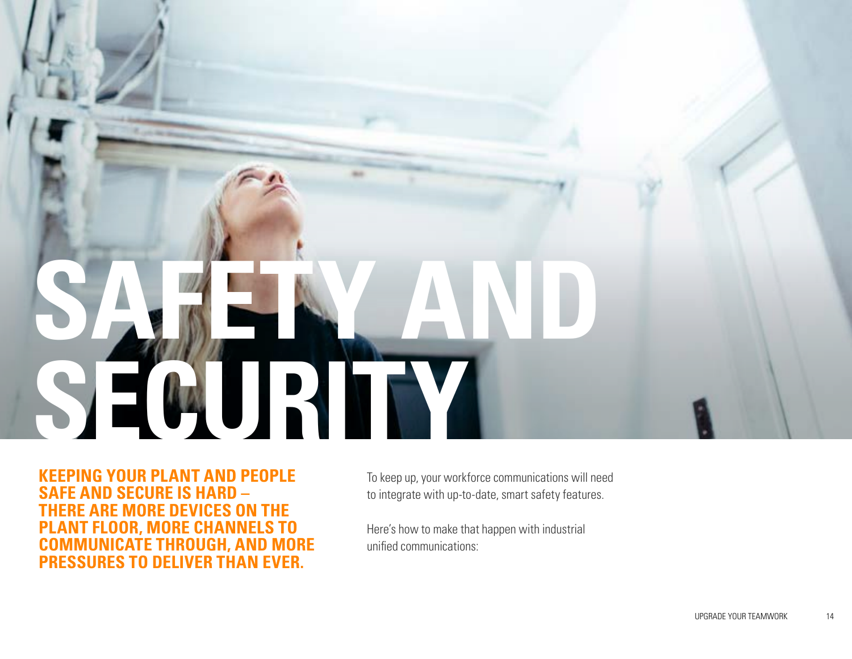# **SECURITY SAFETY AND**

**KEEPING YOUR PLANT AND PEOPLE SAFE AND SECURE IS HARD – THERE ARE MORE DEVICES ON THE PLANT FLOOR, MORE CHANNELS TO COMMUNICATE THROUGH, AND MORE PRESSURES TO DELIVER THAN EVER.** 

To keep up, your workforce communications will need to integrate with up-to-date, smart safety features.

Here's how to make that happen with industrial unified communications: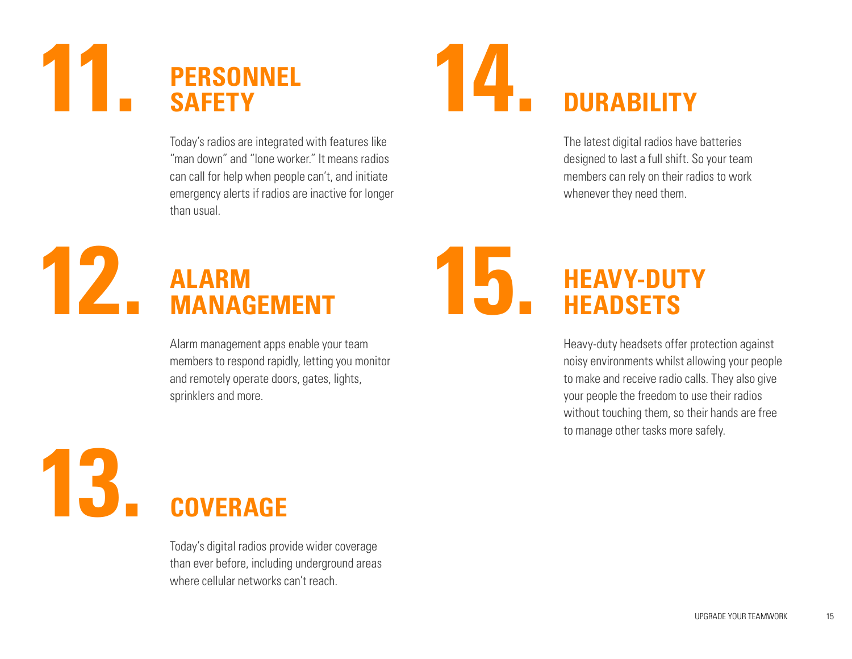#### **11. 14. PERSONNEL SAFETY**

Today's radios are integrated with features like "man down" and "lone worker." It means radios can call for help when people can't, and initiate emergency alerts if radios are inactive for longer than usual.

### **DURABILITY**

The latest digital radios have batteries designed to last a full shift. So your team members can rely on their radios to work whenever they need them.

#### **12. ALARM 15. ALARM MANAGEMENT**

Alarm management apps enable your team members to respond rapidly, letting you monitor and remotely operate doors, gates, lights, sprinklers and more.

**13. COVERAGE**

> Today's digital radios provide wider coverage than ever before, including underground areas where cellular networks can't reach.

#### **HEAVY-DUTY HEADSETS**

Heavy-duty headsets offer protection against noisy environments whilst allowing your people to make and receive radio calls. They also give your people the freedom to use their radios without touching them, so their hands are free to manage other tasks more safely.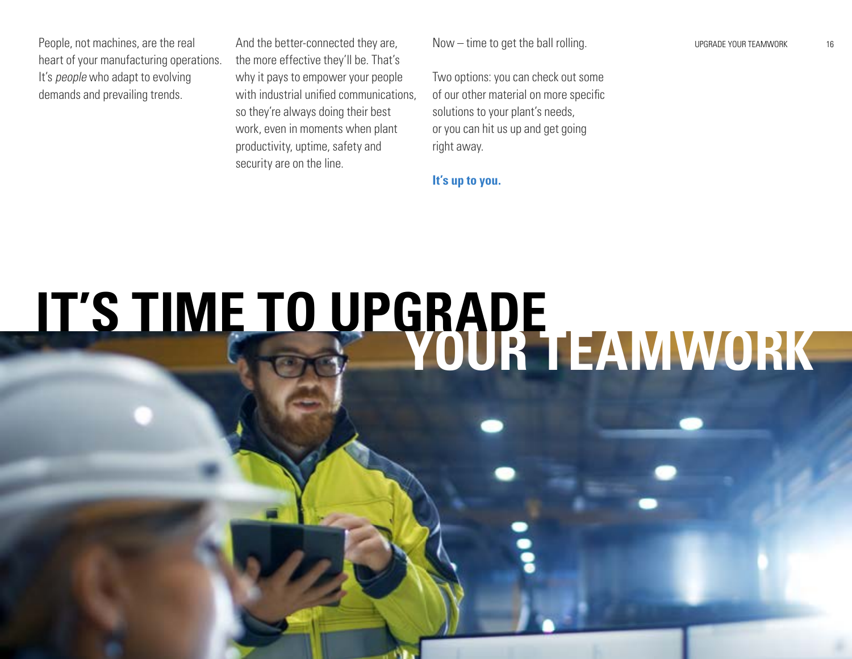People, not machines, are the real heart of your manufacturing operations. It's *people* who adapt to evolving demands and prevailing trends.

And the better-connected they are, the more effective they'll be. That's why it pays to empower your people with industrial unified communications, so they're always doing their best work, even in moments when plant productivity, uptime, safety and security are on the line.

Now – time to get the ball rolling.

Two options: you can check out some of our other material on more specific solutions to your plant's needs, or you can hit us up and get going right away.

**It's up to you.** 

**IT'S TIME TO UPGRADE YOUR TEAMWORK**